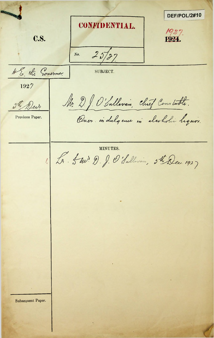DEF/POL/2#10 **CONFIDENTIAL** 1927. C.S. 1924  $25727$  $No.$ AS the Governor. SUBJECT. 1927 Mr. D. J. O'Sullevan, chief Constable. 5th Derr Over indulgence in alcoholic lequir. Previous Paper. MINUTES. 1. Les 5 m. D. J. O'Sullevan, ste Dec. 1927 Subsequent Paper.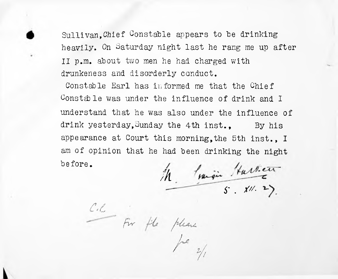Sullivan,Chief Constable appears to be drinking heavily. On Saturday night last he rang me up after II p.m. about two men he had charged with drunkeness and disorderly conduct.

Constable Earl has informed me that the Chief Constable was under the influence of drink and I understand that he was also under the influence of drink yesterday, Sunday the 4th inst.. By his appearance at Court this morning,the 5th inst., I am of opinion that he had been drinking the night before.

**/A 5' . ///■**

 $\sqrt{2}$ 

*c.t*